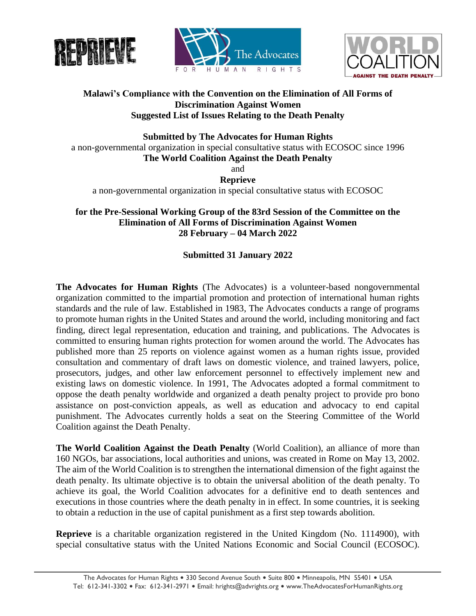





## **Malawi's Compliance with the Convention on the Elimination of All Forms of Discrimination Against Women Suggested List of Issues Relating to the Death Penalty**

**Submitted by The Advocates for Human Rights** a non-governmental organization in special consultative status with ECOSOC since 1996 **The World Coalition Against the Death Penalty** and **Reprieve**

a non-governmental organization in special consultative status with ECOSOC

**for the Pre-Sessional Working Group of the 83rd Session of the Committee on the Elimination of All Forms of Discrimination Against Women 28 February – 04 March 2022**

# **Submitted 31 January 2022**

**The Advocates for Human Rights** (The Advocates) is a volunteer-based nongovernmental organization committed to the impartial promotion and protection of international human rights standards and the rule of law. Established in 1983, The Advocates conducts a range of programs to promote human rights in the United States and around the world, including monitoring and fact finding, direct legal representation, education and training, and publications. The Advocates is committed to ensuring human rights protection for women around the world. The Advocates has published more than 25 reports on violence against women as a human rights issue, provided consultation and commentary of draft laws on domestic violence, and trained lawyers, police, prosecutors, judges, and other law enforcement personnel to effectively implement new and existing laws on domestic violence. In 1991, The Advocates adopted a formal commitment to oppose the death penalty worldwide and organized a death penalty project to provide pro bono assistance on post-conviction appeals, as well as education and advocacy to end capital punishment. The Advocates currently holds a seat on the Steering Committee of the World Coalition against the Death Penalty.

**The World Coalition Against the Death Penalty** (World Coalition), an alliance of more than 160 NGOs, bar associations, local authorities and unions, was created in Rome on May 13, 2002. The aim of the World Coalition is to strengthen the international dimension of the fight against the death penalty. Its ultimate objective is to obtain the universal abolition of the death penalty. To achieve its goal, the World Coalition advocates for a definitive end to death sentences and executions in those countries where the death penalty in in effect. In some countries, it is seeking to obtain a reduction in the use of capital punishment as a first step towards abolition.

**Reprieve** is a charitable organization registered in the United Kingdom (No. 1114900), with special consultative status with the United Nations Economic and Social Council (ECOSOC).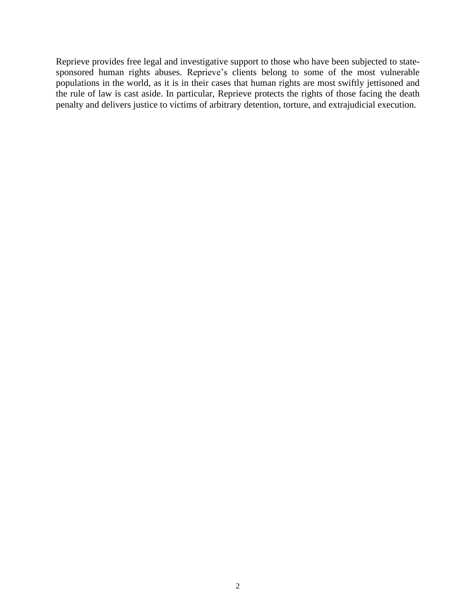Reprieve provides free legal and investigative support to those who have been subjected to statesponsored human rights abuses. Reprieve's clients belong to some of the most vulnerable populations in the world, as it is in their cases that human rights are most swiftly jettisoned and the rule of law is cast aside. In particular, Reprieve protects the rights of those facing the death penalty and delivers justice to victims of arbitrary detention, torture, and extrajudicial execution.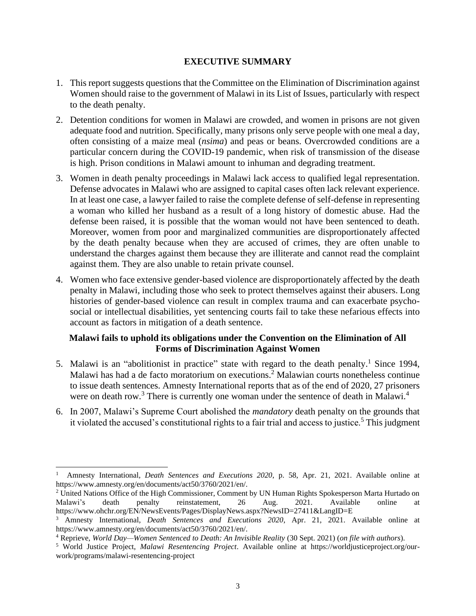### **EXECUTIVE SUMMARY**

- 1. This report suggests questions that the Committee on the Elimination of Discrimination against Women should raise to the government of Malawi in its List of Issues, particularly with respect to the death penalty.
- 2. Detention conditions for women in Malawi are crowded, and women in prisons are not given adequate food and nutrition. Specifically, many prisons only serve people with one meal a day, often consisting of a maize meal (*nsima*) and peas or beans. Overcrowded conditions are a particular concern during the COVID-19 pandemic, when risk of transmission of the disease is high. Prison conditions in Malawi amount to inhuman and degrading treatment.
- 3. Women in death penalty proceedings in Malawi lack access to qualified legal representation. Defense advocates in Malawi who are assigned to capital cases often lack relevant experience. In at least one case, a lawyer failed to raise the complete defense of self-defense in representing a woman who killed her husband as a result of a long history of domestic abuse. Had the defense been raised, it is possible that the woman would not have been sentenced to death. Moreover, women from poor and marginalized communities are disproportionately affected by the death penalty because when they are accused of crimes, they are often unable to understand the charges against them because they are illiterate and cannot read the complaint against them. They are also unable to retain private counsel.
- 4. Women who face extensive gender-based violence are disproportionately affected by the death penalty in Malawi, including those who seek to protect themselves against their abusers. Long histories of gender-based violence can result in complex trauma and can exacerbate psychosocial or intellectual disabilities, yet sentencing courts fail to take these nefarious effects into account as factors in mitigation of a death sentence.

## **Malawi fails to uphold its obligations under the Convention on the Elimination of All Forms of Discrimination Against Women**

- 5. Malawi is an "abolitionist in practice" state with regard to the death penalty.<sup>1</sup> Since 1994, Malawi has had a de facto moratorium on executions. <sup>2</sup> Malawian courts nonetheless continue to issue death sentences. Amnesty International reports that as of the end of 2020, 27 prisoners were on death row.<sup>3</sup> There is currently one woman under the sentence of death in Malawi.<sup>4</sup>
- 6. In 2007, Malawi's Supreme Court abolished the *mandatory* death penalty on the grounds that it violated the accused's constitutional rights to a fair trial and access to justice.<sup>5</sup> This judgment

<sup>1</sup> Amnesty International*, Death Sentences and Executions 2020*, p. 58, Apr. 21, 2021. Available online at https://www.amnesty.org/en/documents/act50/3760/2021/en/.

<sup>&</sup>lt;sup>2</sup> United Nations Office of the High Commissioner, Comment by UN Human Rights Spokesperson Marta Hurtado on Malawi's death penalty reinstatement. 26 Aug. 2021. Available online at death penalty reinstatement, 26 Aug. 2021. Available online at https://www.ohchr.org/EN/NewsEvents/Pages/DisplayNews.aspx?NewsID=27411&LangID=E

<sup>3</sup> Amnesty International*, Death Sentences and Executions 2020*, Apr. 21, 2021. Available online at https://www.amnesty.org/en/documents/act50/3760/2021/en/.

<sup>4</sup> Reprieve, *World Day—Women Sentenced to Death: An Invisible Reality* (30 Sept. 2021) (*on file with authors*).

<sup>5</sup> World Justice Project, *Malawi Resentencing Project*. Available online at https://worldjusticeproject.org/ourwork/programs/malawi-resentencing-project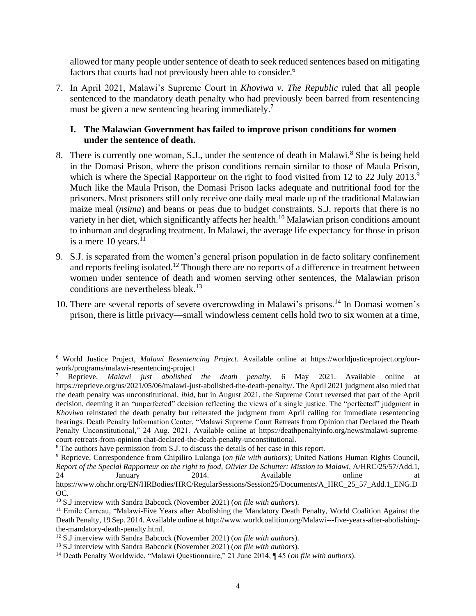allowed for many people under sentence of death to seek reduced sentences based on mitigating factors that courts had not previously been able to consider.<sup>6</sup>

7. In April 2021, Malawi's Supreme Court in *Khoviwa v. The Republic* ruled that all people sentenced to the mandatory death penalty who had previously been barred from resentencing must be given a new sentencing hearing immediately.<sup>7</sup>

#### **I. The Malawian Government has failed to improve prison conditions for women under the sentence of death.**

- 8. There is currently one woman, S.J., under the sentence of death in Malawi.<sup>8</sup> She is being held in the Domasi Prison, where the prison conditions remain similar to those of Maula Prison, which is where the Special Rapporteur on the right to food visited from 12 to 22 July 2013.<sup>9</sup> Much like the Maula Prison, the Domasi Prison lacks adequate and nutritional food for the prisoners. Most prisoners still only receive one daily meal made up of the traditional Malawian maize meal (*nsima*) and beans or peas due to budget constraints. S.J. reports that there is no variety in her diet, which significantly affects her health.<sup>10</sup> Malawian prison conditions amount to inhuman and degrading treatment. In Malawi, the average life expectancy for those in prison is a mere  $10$  years.<sup>11</sup>
- 9. S.J. is separated from the women's general prison population in de facto solitary confinement and reports feeling isolated.<sup>12</sup> Though there are no reports of a difference in treatment between women under sentence of death and women serving other sentences, the Malawian prison conditions are nevertheless bleak.<sup>13</sup>
- 10. There are several reports of severe overcrowding in Malawi's prisons.<sup>14</sup> In Domasi women's prison, there is little privacy—small windowless cement cells hold two to six women at a time,

<sup>6</sup> World Justice Project, *Malawi Resentencing Project*. Available online at https://worldjusticeproject.org/ourwork/programs/malawi-resentencing-project

<sup>7</sup> Reprieve, *Malawi just abolished the death penalty*, 6 May 2021. Available online at https://reprieve.org/us/2021/05/06/malawi-just-abolished-the-death-penalty/. The April 2021 judgment also ruled that the death penalty was unconstitutional, *ibid*, but in August 2021, the Supreme Court reversed that part of the April decision, deeming it an "unperfected" decision reflecting the views of a single justice. The "perfected" judgment in *Khoviwa* reinstated the death penalty but reiterated the judgment from April calling for immediate resentencing hearings. Death Penalty Information Center, "Malawi Supreme Court Retreats from Opinion that Declared the Death Penalty Unconstitutional," 24 Aug. 2021. Available online at https://deathpenaltyinfo.org/news/malawi-supremecourt-retreats-from-opinion-that-declared-the-death-penalty-unconstitutional.

<sup>8</sup> The authors have permission from S.J. to discuss the details of her case in this report.

<sup>9</sup> Reprieve, Correspondence from Chipiliro Lulanga (*on file with authors*); United Nations Human Rights Council, *Report of the Special Rapporteur on the right to food, Olivier De Schutter: Mission to Malawi*, A/HRC/25/57/Add.1, 24 January 2014. Available online at

https://www.ohchr.org/EN/HRBodies/HRC/RegularSessions/Session25/Documents/A\_HRC\_25\_57\_Add.1\_ENG.D OC.

<sup>10</sup> S.J interview with Sandra Babcock (November 2021) (*on file with authors*).

<sup>&</sup>lt;sup>11</sup> Emile Carreau, "Malawi-Five Years after Abolishing the Mandatory Death Penalty, World Coalition Against the Death Penalty, 19 Sep. 2014. Available online at http://www.worldcoalition.org/Malawi---five-years-after-abolishingthe-mandatory-death-penalty.html.

<sup>12</sup> S.J interview with Sandra Babcock (November 2021) (*on file with authors*).

<sup>13</sup> S.J interview with Sandra Babcock (November 2021) (*on file with authors*).

<sup>14</sup> Death Penalty Worldwide, "Malawi Questionnaire," 21 June 2014, ¶ 45 (*on file with authors*).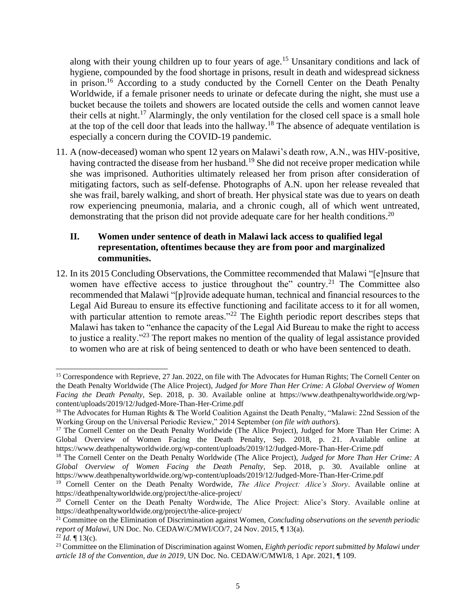along with their young children up to four years of age.<sup>15</sup> Unsanitary conditions and lack of hygiene, compounded by the food shortage in prisons, result in death and widespread sickness in prison.<sup>16</sup> According to a study conducted by the Cornell Center on the Death Penalty Worldwide, if a female prisoner needs to urinate or defecate during the night, she must use a bucket because the toilets and showers are located outside the cells and women cannot leave their cells at night.<sup>17</sup> Alarmingly, the only ventilation for the closed cell space is a small hole at the top of the cell door that leads into the hallway.<sup>18</sup> The absence of adequate ventilation is especially a concern during the COVID-19 pandemic.

11. A (now-deceased) woman who spent 12 years on Malawi's death row, A.N., was HIV-positive, having contracted the disease from her husband.<sup>19</sup> She did not receive proper medication while she was imprisoned. Authorities ultimately released her from prison after consideration of mitigating factors, such as self-defense. Photographs of A.N. upon her release revealed that she was frail, barely walking, and short of breath. Her physical state was due to years on death row experiencing pneumonia, malaria, and a chronic cough, all of which went untreated, demonstrating that the prison did not provide adequate care for her health conditions.<sup>20</sup>

## **II. Women under sentence of death in Malawi lack access to qualified legal representation, oftentimes because they are from poor and marginalized communities.**

12. In its 2015 Concluding Observations, the Committee recommended that Malawi "[e]nsure that women have effective access to justice throughout the" country.<sup>21</sup> The Committee also recommended that Malawi "[p]rovide adequate human, technical and financial resources to the Legal Aid Bureau to ensure its effective functioning and facilitate access to it for all women, with particular attention to remote areas."<sup>22</sup> The Eighth periodic report describes steps that Malawi has taken to "enhance the capacity of the Legal Aid Bureau to make the right to access to justice a reality."<sup>23</sup> The report makes no mention of the quality of legal assistance provided to women who are at risk of being sentenced to death or who have been sentenced to death.

<sup>&</sup>lt;sup>15</sup> Correspondence with Reprieve, 27 Jan. 2022, on file with The Advocates for Human Rights; The Cornell Center on the Death Penalty Worldwide (The Alice Project), *Judged for More Than Her Crime: A Global Overview of Women Facing the Death Penalty*, Sep. 2018, p. 30. Available online at https://www.deathpenaltyworldwide.org/wpcontent/uploads/2019/12/Judged-More-Than-Her-Crime.pdf

<sup>&</sup>lt;sup>16</sup> The Advocates for Human Rights & The World Coalition Against the Death Penalty, "Malawi: 22nd Session of the Working Group on the Universal Periodic Review," 2014 September (*on file with authors*).

<sup>&</sup>lt;sup>17</sup> The Cornell Center on the Death Penalty Worldwide (The Alice Project), Judged for More Than Her Crime: A Global Overview of Women Facing the Death Penalty, Sep. 2018, p. 21. Available online at https://www.deathpenaltyworldwide.org/wp-content/uploads/2019/12/Judged-More-Than-Her-Crime.pdf

<sup>18</sup> The Cornell Center on the Death Penalty Worldwide (The Alice Project), *Judged for More Than Her Crime: A Global Overview of Women Facing the Death Penalty*, Sep. 2018, p. 30. Available online at https://www.deathpenaltyworldwide.org/wp-content/uploads/2019/12/Judged-More-Than-Her-Crime.pdf

<sup>&</sup>lt;sup>19</sup> Cornell Center on the Death Penalty Wordwide, *The Alice Project: Alice's Story*. Available online at https://deathpenaltyworldwide.org/project/the-alice-project/

<sup>&</sup>lt;sup>20</sup> Cornell Center on the Death Penalty Wordwide, The Alice Project: Alice's Story. Available online at https://deathpenaltyworldwide.org/project/the-alice-project/

<sup>21</sup> Committee on the Elimination of Discrimination against Women, *Concluding observations on the seventh periodic report of Malawi*, UN Doc. No. CEDAW/C/MWI/CO/7, 24 Nov. 2015, ¶ 13(a).  $^{22}$ *Id.* ¶ 13(c).

<sup>23</sup> Committee on the Elimination of Discrimination against Women, *Eighth periodic report submitted by Malawi under article 18 of the Convention, due in 2019*, UN Doc. No. CEDAW/C/MWI/8, 1 Apr. 2021, ¶ 109.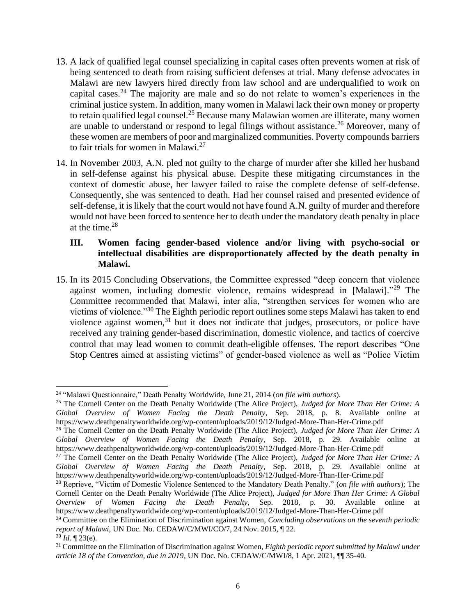- 13. A lack of qualified legal counsel specializing in capital cases often prevents women at risk of being sentenced to death from raising sufficient defenses at trial. Many defense advocates in Malawi are new lawyers hired directly from law school and are underqualified to work on capital cases.<sup>24</sup> The majority are male and so do not relate to women's experiences in the criminal justice system. In addition, many women in Malawi lack their own money or property to retain qualified legal counsel.<sup>25</sup> Because many Malawian women are illiterate, many women are unable to understand or respond to legal filings without assistance.<sup>26</sup> Moreover, many of these women are members of poor and marginalized communities. Poverty compounds barriers to fair trials for women in Malawi. $^{27}$
- 14. In November 2003, A.N. pled not guilty to the charge of murder after she killed her husband in self-defense against his physical abuse. Despite these mitigating circumstances in the context of domestic abuse, her lawyer failed to raise the complete defense of self-defense. Consequently, she was sentenced to death. Had her counsel raised and presented evidence of self-defense, it is likely that the court would not have found A.N. guilty of murder and therefore would not have been forced to sentence her to death under the mandatory death penalty in place at the time. 28

## **III. Women facing gender-based violence and/or living with psycho-social or intellectual disabilities are disproportionately affected by the death penalty in Malawi.**

15. In its 2015 Concluding Observations, the Committee expressed "deep concern that violence against women, including domestic violence, remains widespread in [Malawi]."<sup>29</sup> The Committee recommended that Malawi, inter alia, "strengthen services for women who are victims of violence."<sup>30</sup> The Eighth periodic report outlines some steps Malawi has taken to end violence against women, $31$  but it does not indicate that judges, prosecutors, or police have received any training gender-based discrimination, domestic violence, and tactics of coercive control that may lead women to commit death-eligible offenses. The report describes "One Stop Centres aimed at assisting victims" of gender-based violence as well as "Police Victim

<sup>24</sup> "Malawi Questionnaire," Death Penalty Worldwide, June 21, 2014 (*on file with authors*).

<sup>25</sup> The Cornell Center on the Death Penalty Worldwide (The Alice Project), *Judged for More Than Her Crime: A Global Overview of Women Facing the Death Penalty*, Sep. 2018, p. 8. Available online at https://www.deathpenaltyworldwide.org/wp-content/uploads/2019/12/Judged-More-Than-Her-Crime.pdf

<sup>26</sup> The Cornell Center on the Death Penalty Worldwide (The Alice Project), *Judged for More Than Her Crime: A Global Overview of Women Facing the Death Penalty*, Sep. 2018, p. 29. Available online at https://www.deathpenaltyworldwide.org/wp-content/uploads/2019/12/Judged-More-Than-Her-Crime.pdf

<sup>&</sup>lt;sup>27</sup> The Cornell Center on the Death Penalty Worldwide (The Alice Project), *Judged for More Than Her Crime: A Global Overview of Women Facing the Death Penalty*, Sep. 2018, p. 29. Available online at https://www.deathpenaltyworldwide.org/wp-content/uploads/2019/12/Judged-More-Than-Her-Crime.pdf

<sup>28</sup> Reprieve, "Victim of Domestic Violence Sentenced to the Mandatory Death Penalty." (*on file with authors*); The Cornell Center on the Death Penalty Worldwide (The Alice Project), *Judged for More Than Her Crime: A Global Overview of Women Facing the Death Penalty*, Sep. 2018, p. 30. Available online https://www.deathpenaltyworldwide.org/wp-content/uploads/2019/12/Judged-More-Than-Her-Crime.pdf

<sup>29</sup> Committee on the Elimination of Discrimination against Women, *Concluding observations on the seventh periodic report of Malawi*, UN Doc. No. CEDAW/C/MWI/CO/7, 24 Nov. 2015, ¶ 22.

 $30$  *Id.*  $\sqrt{ }$  23(e).

<sup>31</sup> Committee on the Elimination of Discrimination against Women, *Eighth periodic report submitted by Malawi under article 18 of the Convention, due in 2019*, UN Doc. No. CEDAW/C/MWI/8, 1 Apr. 2021, ¶¶ 35-40.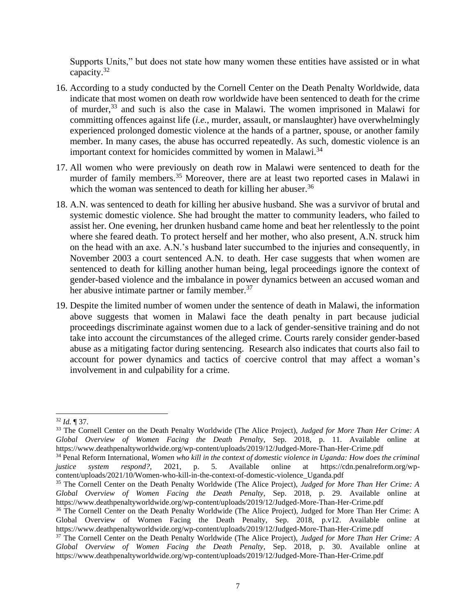Supports Units," but does not state how many women these entities have assisted or in what capacity.<sup>32</sup>

- 16. According to a study conducted by the Cornell Center on the Death Penalty Worldwide, data indicate that most women on death row worldwide have been sentenced to death for the crime of murder, <sup>33</sup> and such is also the case in Malawi. The women imprisoned in Malawi for committing offences against life (*i.e.*, murder, assault, or manslaughter) have overwhelmingly experienced prolonged domestic violence at the hands of a partner, spouse, or another family member. In many cases, the abuse has occurred repeatedly. As such, domestic violence is an important context for homicides committed by women in Malawi.<sup>34</sup>
- 17. All women who were previously on death row in Malawi were sentenced to death for the murder of family members.<sup>35</sup> Moreover, there are at least two reported cases in Malawi in which the woman was sentenced to death for killing her abuser.<sup>36</sup>
- 18. A.N. was sentenced to death for killing her abusive husband. She was a survivor of brutal and systemic domestic violence. She had brought the matter to community leaders, who failed to assist her. One evening, her drunken husband came home and beat her relentlessly to the point where she feared death. To protect herself and her mother, who also present, A.N. struck him on the head with an axe. A.N.'s husband later succumbed to the injuries and consequently, in November 2003 a court sentenced A.N. to death. Her case suggests that when women are sentenced to death for killing another human being, legal proceedings ignore the context of gender-based violence and the imbalance in power dynamics between an accused woman and her abusive intimate partner or family member.<sup>37</sup>
- 19. Despite the limited number of women under the sentence of death in Malawi, the information above suggests that women in Malawi face the death penalty in part because judicial proceedings discriminate against women due to a lack of gender-sensitive training and do not take into account the circumstances of the alleged crime. Courts rarely consider gender-based abuse as a mitigating factor during sentencing. Research also indicates that courts also fail to account for power dynamics and tactics of coercive control that may affect a woman's involvement in and culpability for a crime.

<sup>32</sup> *Id.* ¶ 37.

<sup>33</sup> The Cornell Center on the Death Penalty Worldwide (The Alice Project), *Judged for More Than Her Crime: A Global Overview of Women Facing the Death Penalty*, Sep. 2018, p. 11. Available online at https://www.deathpenaltyworldwide.org/wp-content/uploads/2019/12/Judged-More-Than-Her-Crime.pdf

<sup>34</sup> Penal Reform International, *Women who kill in the context of domestic violence in Uganda: How does the criminal justice system respond?*, 2021, p. 5. Available online at https://cdn.penalreform.org/wpcontent/uploads/2021/10/Women-who-kill-in-the-context-of-domestic-violence\_Uganda.pdf

<sup>35</sup> The Cornell Center on the Death Penalty Worldwide (The Alice Project), *Judged for More Than Her Crime: A Global Overview of Women Facing the Death Penalty*, Sep. 2018, p. 29. Available online at https://www.deathpenaltyworldwide.org/wp-content/uploads/2019/12/Judged-More-Than-Her-Crime.pdf

<sup>&</sup>lt;sup>36</sup> The Cornell Center on the Death Penalty Worldwide (The Alice Project), Judged for More Than Her Crime: A Global Overview of Women Facing the Death Penalty, Sep. 2018, p.v12. Available online at https://www.deathpenaltyworldwide.org/wp-content/uploads/2019/12/Judged-More-Than-Her-Crime.pdf

<sup>37</sup> The Cornell Center on the Death Penalty Worldwide (The Alice Project), *Judged for More Than Her Crime: A Global Overview of Women Facing the Death Penalty*, Sep. 2018, p. 30. Available online at https://www.deathpenaltyworldwide.org/wp-content/uploads/2019/12/Judged-More-Than-Her-Crime.pdf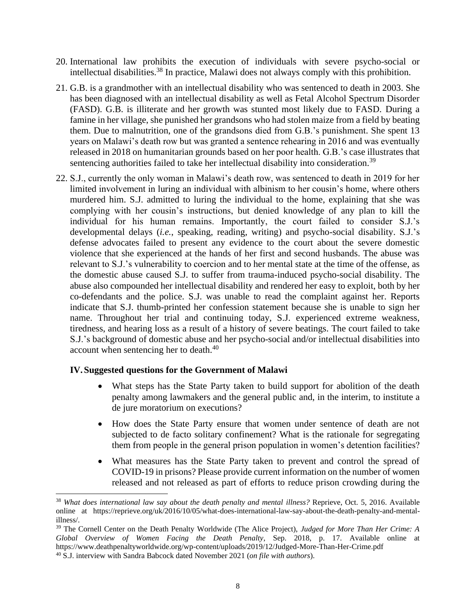- 20. International law prohibits the execution of individuals with severe psycho-social or intellectual disabilities. <sup>38</sup> In practice, Malawi does not always comply with this prohibition.
- 21. G.B. is a grandmother with an intellectual disability who was sentenced to death in 2003. She has been diagnosed with an intellectual disability as well as Fetal Alcohol Spectrum Disorder (FASD). G.B. is illiterate and her growth was stunted most likely due to FASD. During a famine in her village, she punished her grandsons who had stolen maize from a field by beating them. Due to malnutrition, one of the grandsons died from G.B.'s punishment. She spent 13 years on Malawi's death row but was granted a sentence rehearing in 2016 and was eventually released in 2018 on humanitarian grounds based on her poor health. G.B.'s case illustrates that sentencing authorities failed to take her intellectual disability into consideration.<sup>39</sup>
- 22. S.J., currently the only woman in Malawi's death row, was sentenced to death in 2019 for her limited involvement in luring an individual with albinism to her cousin's home, where others murdered him. S.J. admitted to luring the individual to the home, explaining that she was complying with her cousin's instructions, but denied knowledge of any plan to kill the individual for his human remains. Importantly, the court failed to consider S.J.'s developmental delays (*i.e.*, speaking, reading, writing) and psycho-social disability. S.J.'s defense advocates failed to present any evidence to the court about the severe domestic violence that she experienced at the hands of her first and second husbands. The abuse was relevant to S.J.'s vulnerability to coercion and to her mental state at the time of the offense, as the domestic abuse caused S.J. to suffer from trauma-induced psycho-social disability. The abuse also compounded her intellectual disability and rendered her easy to exploit, both by her co-defendants and the police. S.J. was unable to read the complaint against her. Reports indicate that S.J. thumb-printed her confession statement because she is unable to sign her name. Throughout her trial and continuing today, S.J. experienced extreme weakness, tiredness, and hearing loss as a result of a history of severe beatings. The court failed to take S.J.'s background of domestic abuse and her psycho-social and/or intellectual disabilities into account when sentencing her to death.<sup>40</sup>

## **IV.Suggested questions for the Government of Malawi**

- What steps has the State Party taken to build support for abolition of the death penalty among lawmakers and the general public and, in the interim, to institute a de jure moratorium on executions?
- How does the State Party ensure that women under sentence of death are not subjected to de facto solitary confinement? What is the rationale for segregating them from people in the general prison population in women's detention facilities?
- What measures has the State Party taken to prevent and control the spread of COVID-19 in prisons? Please provide current information on the number of women released and not released as part of efforts to reduce prison crowding during the

<sup>38</sup> *What does international law say about the death penalty and mental illness?* Reprieve, Oct. 5, 2016. Available online at https://reprieve.org/uk/2016/10/05/what-does-international-law-say-about-the-death-penalty-and-mentalillness/.

<sup>39</sup> The Cornell Center on the Death Penalty Worldwide (The Alice Project), *Judged for More Than Her Crime: A Global Overview of Women Facing the Death Penalty*, Sep. 2018, p. 17. Available online at https://www.deathpenaltyworldwide.org/wp-content/uploads/2019/12/Judged-More-Than-Her-Crime.pdf <sup>40</sup> S.J. interview with Sandra Babcock dated November 2021 (*on file with authors*).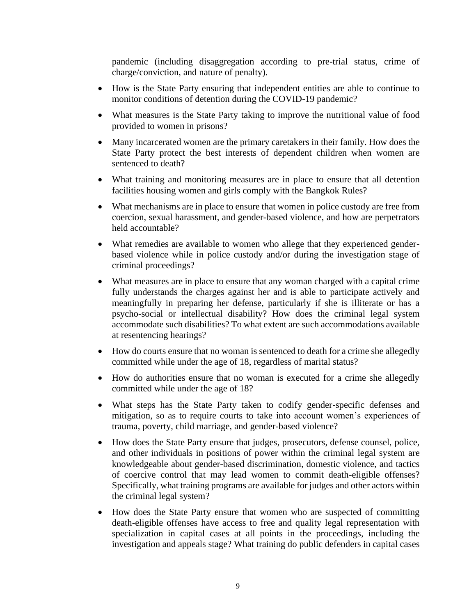pandemic (including disaggregation according to pre-trial status, crime of charge/conviction, and nature of penalty).

- How is the State Party ensuring that independent entities are able to continue to monitor conditions of detention during the COVID-19 pandemic?
- What measures is the State Party taking to improve the nutritional value of food provided to women in prisons?
- Many incarcerated women are the primary caretakers in their family. How does the State Party protect the best interests of dependent children when women are sentenced to death?
- What training and monitoring measures are in place to ensure that all detention facilities housing women and girls comply with the Bangkok Rules?
- What mechanisms are in place to ensure that women in police custody are free from coercion, sexual harassment, and gender-based violence, and how are perpetrators held accountable?
- What remedies are available to women who allege that they experienced genderbased violence while in police custody and/or during the investigation stage of criminal proceedings?
- What measures are in place to ensure that any woman charged with a capital crime fully understands the charges against her and is able to participate actively and meaningfully in preparing her defense, particularly if she is illiterate or has a psycho-social or intellectual disability? How does the criminal legal system accommodate such disabilities? To what extent are such accommodations available at resentencing hearings?
- How do courts ensure that no woman is sentenced to death for a crime she allegedly committed while under the age of 18, regardless of marital status?
- How do authorities ensure that no woman is executed for a crime she allegedly committed while under the age of 18?
- What steps has the State Party taken to codify gender-specific defenses and mitigation, so as to require courts to take into account women's experiences of trauma, poverty, child marriage, and gender-based violence?
- How does the State Party ensure that judges, prosecutors, defense counsel, police, and other individuals in positions of power within the criminal legal system are knowledgeable about gender-based discrimination, domestic violence, and tactics of coercive control that may lead women to commit death-eligible offenses? Specifically, what training programs are available for judges and other actors within the criminal legal system?
- How does the State Party ensure that women who are suspected of committing death-eligible offenses have access to free and quality legal representation with specialization in capital cases at all points in the proceedings, including the investigation and appeals stage? What training do public defenders in capital cases